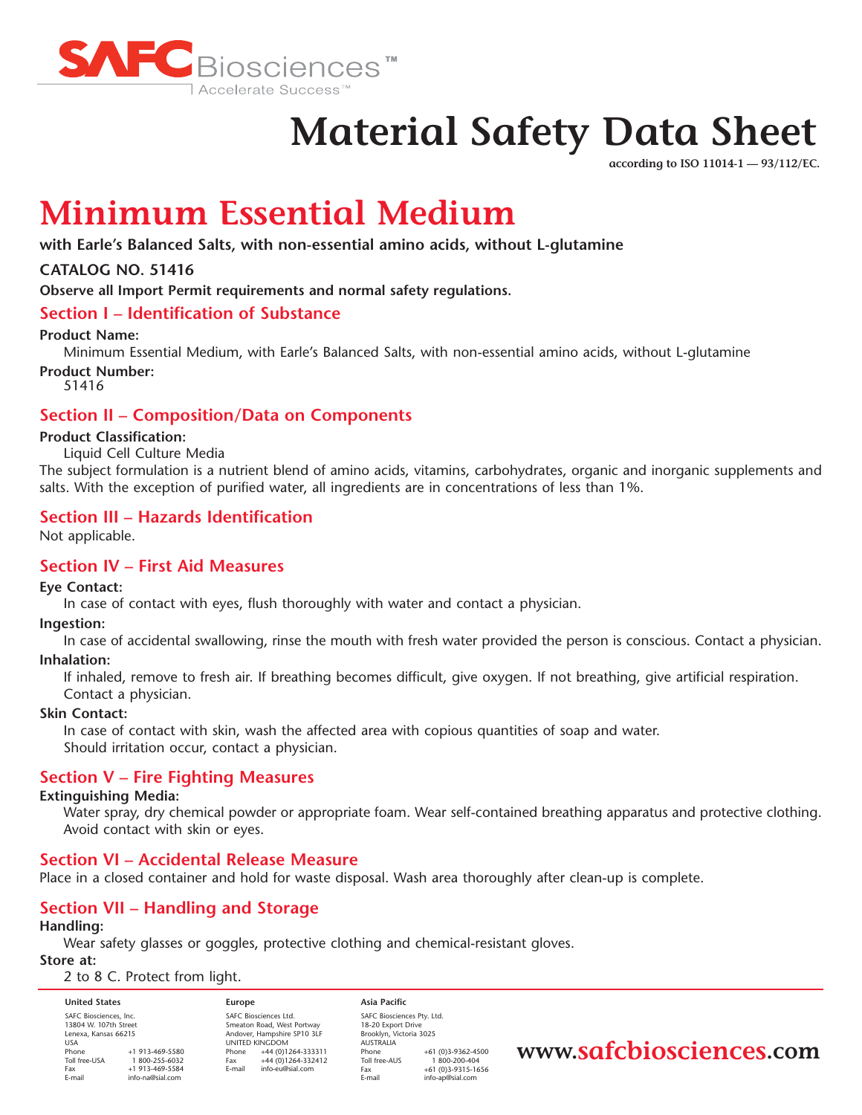

# **Material Safety Data Sheet**

**according to ISO 11014-1 — 93/112/EC.**

# **Minimum Essential Medium**

**with Earle's Balanced Salts, with non-essential amino acids, without L-glutamine**

# **CATALOG NO. 51416**

**Observe all Import Permit requirements and normal safety regulations.**

# **Section I – Identification of Substance**

#### **Product Name:**

Minimum Essential Medium, with Earle's Balanced Salts, with non-essential amino acids, without L-glutamine **Product Number:**

51416

# **Section II – Composition/Data on Components**

#### **Product Classification:**

#### Liquid Cell Culture Media

The subject formulation is a nutrient blend of amino acids, vitamins, carbohydrates, organic and inorganic supplements and salts. With the exception of purified water, all ingredients are in concentrations of less than 1%.

# **Section III – Hazards Identification**

Not applicable.

### **Section IV – First Aid Measures**

#### **Eye Contact:**

In case of contact with eyes, flush thoroughly with water and contact a physician.

#### **Ingestion:**

In case of accidental swallowing, rinse the mouth with fresh water provided the person is conscious. Contact a physician.

#### **Inhalation:**

If inhaled, remove to fresh air. If breathing becomes difficult, give oxygen. If not breathing, give artificial respiration. Contact a physician.

#### **Skin Contact:**

In case of contact with skin, wash the affected area with copious quantities of soap and water. Should irritation occur, contact a physician.

# **Section V – Fire Fighting Measures**

#### **Extinguishing Media:**

Water spray, dry chemical powder or appropriate foam. Wear self-contained breathing apparatus and protective clothing. Avoid contact with skin or eyes.

#### **Section VI – Accidental Release Measure**

Place in a closed container and hold for waste disposal. Wash area thoroughly after clean-up is complete.

# **Section VII – Handling and Storage**

#### **Handling:**

Wear safety glasses or goggles, protective clothing and chemical-resistant gloves.

#### **Store at:**

#### 2 to 8 C. Protect from light.

| <b>United States</b>                                                    |                  |
|-------------------------------------------------------------------------|------------------|
| SAFC Biosciences, Inc.<br>13804 W. 107th Street<br>Lenexa, Kansas 66215 |                  |
| <b>USA</b>                                                              |                  |
| Phone                                                                   | +1 913-469-5580  |
| Toll free-USA                                                           | 1800-255-6032    |
| Fax                                                                     | +1 913-469-5584  |
| E-mail                                                                  | info-na@sial.com |

**Europe** SAFC Biosciences Ltd. Smeaton Road, West Portway Andover, Hampshire SP10 3LF UNITED KINGDOM Phone +44 (0)1264-333311<br>Fax +44 (0)1264-332412  $\begin{array}{r}\n\text{Fax} \\
\text{Final} \\
\text{info-eu@cial com}\n\end{array}$ info-eu@sial.com

**Asia Pacific** SAFC Biosciences Pty. Ltd. 18-20 Export Drive Brooklyn, Victoria 3025 AUSTRALIA Phone +61 (0)3-9362-4500<br>Toll free-AUS 1 800-200-404 Toll free-AUS 1 800-200-404<br>Eax +61 (0)3-9315-16 Fax +61 (0)3-9315-1656 info-ap@sial.com

# **www.safcbiosciences.com**